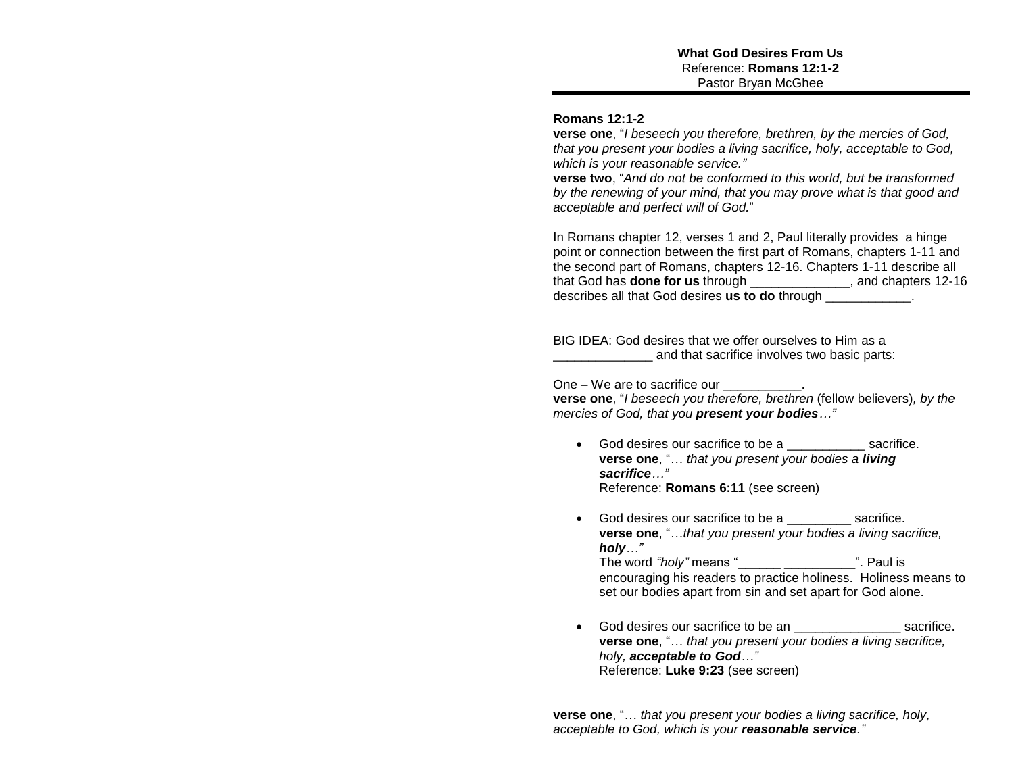## **Romans 12:1-2**

**verse one**, "*I beseech you therefore, brethren, by the mercies of God, that you present your bodies a living sacrifice, holy, acceptable to God, which is your reasonable service."*

**verse two**, "*And do not be conformed to this world, but be transformed by the renewing of your mind, that you may prove what is that good and acceptable and perfect will of God.*"

In Romans chapter 12, verses 1 and 2, Paul literally provides a hinge point or connection between the first part of Romans, chapters 1-11 and the second part of Romans, chapters 12-16. Chapters 1-11 describe all that God has **done for us** through \_\_\_\_\_\_\_\_\_\_\_\_\_\_, and chapters 12-16 describes all that God desires **us to do** through \_\_\_\_\_\_\_\_\_\_\_\_.

BIG IDEA: God desires that we offer ourselves to Him as a and that sacrifice involves two basic parts:

One – We are to sacrifice our example on the set of  $\sim$ 

**verse one**, "*I beseech you therefore, brethren* (fellow believers)*, by the mercies of God, that you present your bodies…"*

- God desires our sacrifice to be a \_\_\_\_\_\_\_\_\_\_\_ sacrifice. **verse one**, "… *that you present your bodies a living sacrifice…"* Reference: **Romans 6:11** (see screen)
- God desires our sacrifice to be a \_\_\_\_\_\_\_\_\_ sacrifice. **verse one**, "…*that you present your bodies a living sacrifice, holy…"* The word *"holy"* means "\_\_\_\_\_\_ \_\_\_\_\_\_\_\_\_\_". Paul is encouraging his readers to practice holiness. Holiness means to set our bodies apart from sin and set apart for God alone.
- God desires our sacrifice to be an \_\_\_\_\_\_\_\_\_\_\_\_\_\_\_ sacrifice. **verse one**, "… *that you present your bodies a living sacrifice, holy, acceptable to God…"* Reference: **Luke 9:23** (see screen)

**verse one**, "… *that you present your bodies a living sacrifice, holy, acceptable to God, which is your reasonable service."*